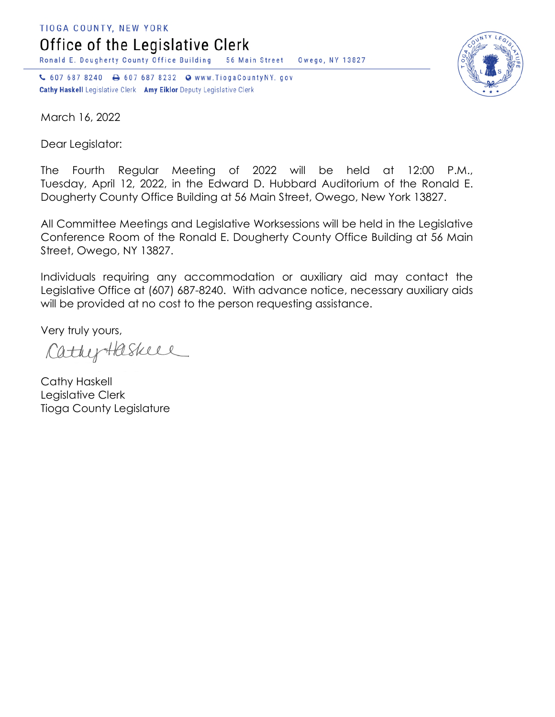TIOGA COUNTY, NEW YORK Office of the Legislative Clerk

Ronald E. Dougherty County Office Building 56 Main Street Owego, NY 13827

↓ 607 687 8240 → 607 687 8232 → www.TiogaCountyNY.gov Cathy Haskell Legislative Clerk Amy Eiklor Deputy Legislative Clerk



March 16, 2022

Dear Legislator:

The Fourth Regular Meeting of 2022 will be held at 12:00 P.M., Tuesday, April 12, 2022, in the Edward D. Hubbard Auditorium of the Ronald E. Dougherty County Office Building at 56 Main Street, Owego, New York 13827.

All Committee Meetings and Legislative Worksessions will be held in the Legislative Conference Room of the Ronald E. Dougherty County Office Building at 56 Main Street, Owego, NY 13827.

Individuals requiring any accommodation or auxiliary aid may contact the Legislative Office at (607) 687-8240. With advance notice, necessary auxiliary aids will be provided at no cost to the person requesting assistance.

Very truly yours,

CathyHaskell

Cathy Haskell Legislative Clerk Tioga County Legislature